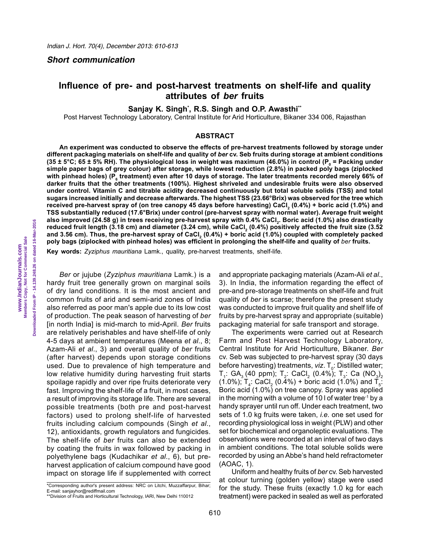#### *Short communication*

# **Influence of pre- and post-harvest treatments on shelf-life and quality attributes of** *ber* **fruits**

**Sanjay K. Singh\* , R.S. Singh and O.P. Awasthi\*\***

Post Harvest Technology Laboratory, Central Institute for Arid Horticulture, Bikaner 334 006, Rajasthan

### **ABSTRACT**

**An experiment was conducted to observe the effects of pre-harvest treatments followed by storage under different packaging materials on shelf-life and quality of** *ber* **cv. Seb fruits during storage at ambient conditions (35 ± 5°C; 65 ± 5% RH). The physiological loss in weight was maximum (46.0%) in control (P<sup>0</sup> = Packing under simple paper bags of grey colour) after storage, while lowest reduction (2.8%) in packed poly bags (ziplocked**  with pinhead holes) (P<sub>6</sub> treatment) even after 10 days of storage. The later treatments recorded merely 66% of **darker fruits that the other treatments (100%). Highest shriveled and undesirable fruits were also observed under control. Vitamin C and titrable acidity decreased continuously but total soluble solids (TSS) and total sugars increased initially and decrease afterwards. The highest TSS (23.66°Brix) was observed for the tree which**  received pre-harvest spray of (on tree canopy 45 days before harvesting) CaCl<sub>2</sub> (0.4%) + boric acid (1.0%) and<br>———————————————————— **TSS substantially reduced (17.6°Brix) under control (pre-harvest spray with normal water). Average fruit weight also improved (24.58 g) in trees receiving pre-harvest spray with 0.4% CaCl<sup>2</sup> . Boric acid (1.0%) also drastically reduced fruit length (3.18 cm) and diameter (3.24 cm), while CaCl<sup>2</sup> (0.4%) positively affected the fruit size (3.52**  and 3.56 cm). Thus, the pre-harvest spray of CaCl<sub>2</sub> (0.4%) + boric acid (1.0%) coupled with completely packed **poly bags (ziplocked with pinhead holes) was efficient in prolonging the shelf-life and quality of** *ber* **fruits.**

**Key words:** *Zyziphus mauritiana* Lamk., quality, pre-harvest treatments, shelf-life.

*Ber* or jujube (*Zyziphus mauritiana* Lamk.) is a hardy fruit tree generally grown on marginal soils of dry land conditions. It is the most ancient and common fruits of arid and semi-arid zones of India also referred as poor man's apple due to its low cost of production. The peak season of harvesting of *ber* [in north India] is mid-march to mid-April. *Ber* fruits are relatively perishables and have shelf-life of only 4-5 days at ambient temperatures (Meena *et al*., 8; Azam-Ali *et al*., 3) and overall quality of *ber* fruits (after harvest) depends upon storage conditions used. Due to prevalence of high temperature and low relative humidity during harvesting fruit starts spoilage rapidly and over ripe fruits deteriorate very fast. Improving the shelf-life of a fruit, in most cases, a result of improving its storage life. There are several possible treatments (both pre and post-harvest factors) used to prolong shelf-life of harvested fruits including calcium compounds (Singh *et al*., 12), antioxidants, growth regulators and fungicides. The shelf-life of *ber* fruits can also be extended by coating the fruits in wax followed by packing in polyethylene bags (Kudachikar *et al*., 6), but preharvest application of calcium compound have good impact on storage life if supplemented with correct

610

and appropriate packaging materials (Azam-Ali *et al*., 3). In India, the information regarding the effect of pre-and pre-storage treatments on shelf-life and fruit quality of *ber* is scarse; therefore the present study was conducted to improve fruit quality and shelf life of fruits by pre-harvest spray and appropriate (suitable) packaging material for safe transport and storage.

The experiments were carried out at Research Farm and Post Harvest Technology Laboratory, Central Institute for Arid Horticulture, Bikaner. *Ber* cv. Seb was subjected to pre-harvest spray (30 days before harvesting) treatments, *viz*. T<sub>o</sub>: Distilled water;  $\mathsf{T}_\mathsf{i}\colon$  GA $_\mathsf{3}$  (40 ppm);  $\mathsf{T}_\mathsf{2}\colon$  CaCl $_\mathsf{2}$  (0.4%);  $\mathsf{T}_\mathsf{3}\colon$  Ca (NO $_\mathsf{3}\mathsf{C}_\mathsf{3}$ (1.0%); T<sub>4</sub>: CaCl<sub>2</sub> (0.4%) + boric acid (1.0%) and T<sub>5</sub>: Boric acid (1.0%) on tree canopy. Spray was applied in the morning with a volume of 10  $\ell$  of water tree<sup>-1</sup> by a handy sprayer until run off. Under each treatment, two sets of 1.0 kg fruits were taken, *i.e.* one set used for recording physiological loss in weight (PLW) and other set for biochemical and organoleptic evaluations. The observations were recorded at an interval of two days in ambient conditions. The total soluble solids were recorded by using an Abbe's hand held refractometer (AOAC, 1).

Uniform and healthy fruits of *ber* cv. Seb harvested at colour turning (golden yellow) stage were used for the study. These fruits (exactly 1.0 kg for each treatment) were packed in sealed as well as perforated

<sup>\*</sup>Corresponding author's present address: NRC on Litchi, Muzzaffarpur, Bihar; E-mail: sanjayhor@rediffmail.com

<sup>\*\*</sup>Division of Fruits and Horticultural Technology, IARI, New Delhi 110012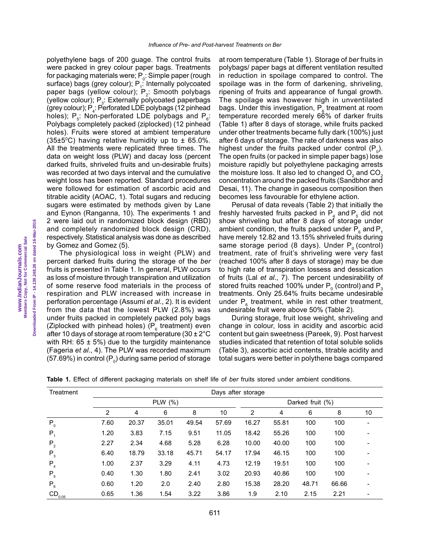polyethylene bags of 200 guage. The control fruits were packed in grey colour paper bags. Treatments for packaging materials were;  $\mathsf{P}_{\scriptscriptstyle{0}}$ : Simple paper (rough surface) bags (grey colour);  $P_1$ : Internally polycoated paper bags (yellow colour);  $P_2$ : Smooth polybags (yellow colour);  $P_{3}$ : Externally polycoated paperbags (grey colour);  $P_4$ : Perforated LDE polybags (12 pinhead holes);  $P_{\epsilon}$ : Non-perforated LDE polybags and  $P_{\epsilon}$ : Polybags completely packed (ziplocked) (12 pinhead holes). Fruits were stored at ambient temperature  $(35\pm5\degree C)$  having relative humidity up to  $\pm$  65.0%. All the treatments were replicated three times. The data on weight loss (PLW) and dacay loss (percent darked fruits, shriveled fruits and un-desirable fruits) was recorded at two days interval and the cumulative weight loss has been reported. Standard procedures were followed for estimation of ascorbic acid and titrable acidity (AOAC, 1). Total sugars and reducing sugars were estimated by methods given by Lane and Eynon (Ranganna, 10). The experiments 1 and 2 were laid out in randomized block design (RBD) and completely randomized block design (CRD), respectively. Statistical analysis was done as described by Gomez and Gomez (5).

The physiological loss in weight (PLW) and percent darked fruits during the storage of the *ber*  fruits is presented in Table 1. In general, PLW occurs as loss of moisture through transpiration and utilization of some reserve food materials in the process of respiration and PLW increased with increase in perforation percentage (Assumi *et al*., 2). It is evident from the data that the lowest PLW (2.8%) was under fruits packed in completely packed poly bags (Ziplocked with pinhead holes) ( $P_6$  treatment) even after 10 days of storage at room temperature (30  $\pm$  2°C with RH:  $65 \pm 5\%$ ) due to the turgidity maintenance (Fageria *et al*., 4). The PLW was recorded maximum (57.69%) in control ( $P_{0}$ ) during same period of storage at room temperature (Table 1). Storage of *ber* fruits in polybags/ paper bags at different ventilation resulted in reduction in spoilage compared to control. The spoilage was in the form of darkening, shriveling, ripening of fruits and appearance of fungal growth. The spoilage was however high in unventilated bags. Under this investigation,  $\mathsf{P}_{\mathsf{6}}$  treatment at room temperature recorded merely 66% of darker fruits (Table 1) after 8 days of storage, while fruits packed under other treatments became fully dark (100%) just after 6 days of storage. The rate of darkness was also highest under the fruits packed under control  $(P_0)$ . The open fruits (or packed in simple paper bags) lose moisture rapidly but polyethylene packaging arrests the moisture loss. It also led to changed  $\overline{O}_2$  and  $\overline{CO}_2$ concentration around the packed fruits (Sandbhor and Desai, 11). The change in gaseous composition then becomes less favourable for ethylene action.

Perusal of data reveals (Table 2) that initially the freshly harvested fruits packed in  $P_4$  and  $P_5$  did not show shriveling but after 8 days of storage under ambient condition, the fruits packed under  $P_6$  and  $P_1$ have merely 12.82 and 13.15% shriveled fruits during same storage period (8 days). Under  $P_0$  (control) treatment, rate of fruit's shriveling were very fast (reached 100% after 8 days of storage) may be due to high rate of transpiration lossess and dessication of fruits (Lal *et al*., 7). The percent undesirability of stored fruits reached 100% under  $\mathsf{P}_{\scriptscriptstyle{0}}$  (control) and  $\mathsf{P}_{\scriptscriptstyle{3}}$ treatments. Only 25.64% fruits became undesirable under  $P_{\epsilon}$  treatment, while in rest other treatment, undesirable fruit were above 50% (Table 2).

During storage, fruit lose weight, shriveling and change in colour, loss in acidity and ascorbic acid content but gain sweetness (Pareek, 9). Post harvest studies indicated that retention of total soluble solids (Table 3), ascorbic acid contents, titrable acidity and total sugars were better in polythene bags compared

| Treatment      | Days after storage |       |             |       |       |                  |       |       |       |    |
|----------------|--------------------|-------|-------------|-------|-------|------------------|-------|-------|-------|----|
|                |                    |       | PLW $(\% )$ |       |       | Darked fruit (%) |       |       |       |    |
|                | 2                  | 4     | 6           | 8     | 10    | 2                | 4     | 6     | 8     | 10 |
| $P_0$          | 7.60               | 20.37 | 35.01       | 49.54 | 57.69 | 16.27            | 55.81 | 100   | 100   |    |
| $P_1$          | 1.20               | 3.83  | 7.15        | 9.51  | 11.05 | 18.42            | 55.26 | 100   | 100   |    |
| P <sub>2</sub> | 2.27               | 2.34  | 4.68        | 5.28  | 6.28  | 10.00            | 40.00 | 100   | 100   |    |
| $P_3$          | 6.40               | 18.79 | 33.18       | 45.71 | 54.17 | 17.94            | 46.15 | 100   | 100   |    |
| $P_{4}$        | 1.00               | 2.37  | 3.29        | 4.11  | 4.73  | 12.19            | 19.51 | 100   | 100   |    |
| $P_{5}$        | 0.40               | 1.30  | 1.80        | 2.41  | 3.02  | 20.93            | 40.86 | 100   | 100   |    |
| $P_6$          | 0.60               | 1.20  | 2.0         | 2.40  | 2.80  | 15.38            | 28.20 | 48.71 | 66.66 |    |
| $CD_{0.05}$    | 0.65               | 1.36  | 1.54        | 3.22  | 3.86  | 1.9              | 2.10  | 2.15  | 2.21  |    |

**Table 1.** Effect of different packaging materials on shelf life of *ber* fruits stored under ambient conditions.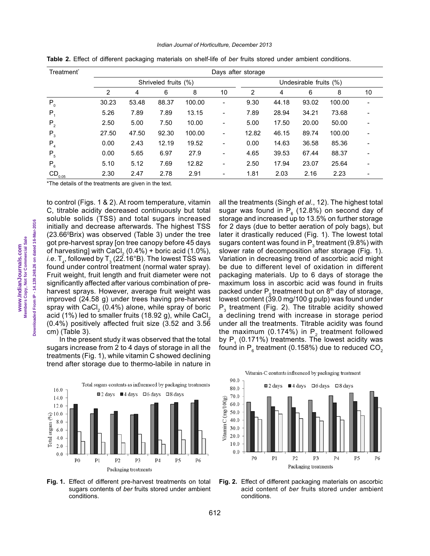Downloaded From IP - 14.139.248.26 on dated 16-Mar-2016 **Downloaded From IP - 14.139.248.26 on dated 16-Mar-2016** Members Copy, Not for Commercial Sale  **Members Copy, Not for Commercial Sale www.IndianJournals.com**  www.IndianJournals.com

cm) (Table 3). In the present study it was observed that the total sugars increase from 2 to 4 days of storage in all the treatments (Fig. 1), while vitamin C showed declining trend after storage due to thermo-labile in nature in

\*The details of the treatments are given in the text.





**Fig. 1.** Effect of different pre-harvest treatments on total sugars contents of *ber* fruits stored under ambient conditions.

all the treatments (Singh *et al*., 12). The highest total sugar was found in  $P_6$  (12.8%) on second day of storage and increased up to 13.5% on further storage for 2 days (due to better aeration of poly bags), but later it drastically reduced (Fig. 1). The lowest total sugars content was found in  $\mathsf{P}_3$  treatment (9.8%) with slower rate of decomposition after storage (Fig. 1). Variation in decreasing trend of ascorbic acid might be due to different level of oxidation in different packaging materials. Up to 6 days of storage the maximum loss in ascorbic acid was found in fruits packed under  $P_0$  treatment but on 8<sup>th</sup> day of storage, lowest content (39.0 mg/100 g pulp) was found under  $P_3$  treatment (Fig. 2). The titrable acidity showed a declining trend with increase in storage period under all the treatments. Titrable acidity was found the maximum (0.174%) in  $P_2$  treatment followed by  $P_1$  (0.171%) treatments. The lowest acidity was found in  $\mathsf{P}_{_{6}}$  treatment (0.158%) due to reduced CO $_{2}$ 



**Fig. 2.** Effect of different packaging materials on ascorbic acid content of *ber* fruits stored under ambient conditions.

#### *Indian Journal of Horticulture, December 2013*

| Treatment <sup>*</sup> | Days after storage   |       |       |        |                              |                        |       |       |        |    |  |
|------------------------|----------------------|-------|-------|--------|------------------------------|------------------------|-------|-------|--------|----|--|
|                        | Shriveled fruits (%) |       |       |        |                              | Undesirable fruits (%) |       |       |        |    |  |
|                        | 2                    | 4     | 6     | 8      | 10                           | 2                      | 4     | 6     | 8      | 10 |  |
| $P_{0}$                | 30.23                | 53.48 | 88.37 | 100.00 | $\qquad \qquad \blacksquare$ | 9.30                   | 44.18 | 93.02 | 100.00 |    |  |
| $P_{4}$                | 5.26                 | 7.89  | 7.89  | 13.15  | $\qquad \qquad \blacksquare$ | 7.89                   | 28.94 | 34.21 | 73.68  |    |  |
| P <sub>2</sub>         | 2.50                 | 5.00  | 7.50  | 10.00  | $\qquad \qquad \blacksquare$ | 5.00                   | 17.50 | 20.00 | 50.00  |    |  |
| $P_3$                  | 27.50                | 47.50 | 92.30 | 100.00 | $\overline{\phantom{a}}$     | 12.82                  | 46.15 | 89.74 | 100.00 |    |  |
| $P_{4}$                | 0.00                 | 2.43  | 12.19 | 19.52  | $\overline{\phantom{a}}$     | 0.00                   | 14.63 | 36.58 | 85.36  |    |  |
| $P_5$                  | 0.00                 | 5.65  | 6.97  | 27.9   | $\overline{\phantom{a}}$     | 4.65                   | 39.53 | 67.44 | 88.37  |    |  |
| $P_6$                  | 5.10                 | 5.12  | 7.69  | 12.82  | $\overline{\phantom{a}}$     | 2.50                   | 17.94 | 23.07 | 25.64  |    |  |
| $CD_{0.05}$            | 2.30                 | 2.47  | 2.78  | 2.91   | -                            | 1.81                   | 2.03  | 2.16  | 2.23   |    |  |

**Table 2.** Effect of different packaging materials on shelf-life of *ber* fruits stored under ambient conditions.